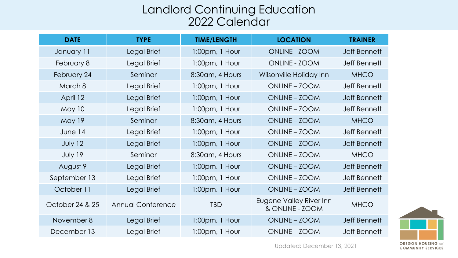## Landlord Continuing Education 2022 Calendar

| <b>DATE</b>     | <b>TYPE</b>              | <b>TIME/LENGTH</b>  | <b>LOCATION</b>                            | <b>TRAINER</b>      |
|-----------------|--------------------------|---------------------|--------------------------------------------|---------------------|
| January 11      | Legal Brief              | 1:00pm, 1 Hour      | ONLINE - ZOOM                              | Jeff Bennett        |
| February 8      | Legal Brief              | $1:00$ pm, $1$ Hour | ONLINE - ZOOM                              | <b>Jeff Bennett</b> |
| February 24     | Seminar                  | 8:30am, 4 Hours     | Wilsonville Holiday Inn                    | <b>MHCO</b>         |
| March 8         | Legal Brief              | $1:00$ pm, $1$ Hour | ONLINE - ZOOM                              | Jeff Bennett        |
| April 12        | Legal Brief              | $1:00$ pm, $1$ Hour | ONLINE - ZOOM                              | <b>Jeff Bennett</b> |
| May 10          | Legal Brief              | $1:00$ pm, $1$ Hour | ONLINE - ZOOM                              | <b>Jeff Bennett</b> |
| <b>May 19</b>   | Seminar                  | 8:30am, 4 Hours     | ONLINE - ZOOM                              | <b>MHCO</b>         |
| June 14         | Legal Brief              | $1:00$ pm, $1$ Hour | ONLINE - ZOOM                              | Jeff Bennett        |
| July 12         | Legal Brief              | 1:00pm, 1 Hour      | ONLINE - ZOOM                              | Jeff Bennett        |
| July 19         | Seminar                  | 8:30am, 4 Hours     | ONLINE - ZOOM                              | <b>MHCO</b>         |
| August 9        | Legal Brief              | $1:00$ pm, $1$ Hour | ONLINE - ZOOM                              | <b>Jeff Bennett</b> |
| September 13    | Legal Brief              | $1:00$ pm, $1$ Hour | ONLINE - ZOOM                              | <b>Jeff Bennett</b> |
| October 11      | Legal Brief              | $1:00$ pm, $1$ Hour | ONLINE - ZOOM                              | Jeff Bennett        |
| October 24 & 25 | <b>Annual Conference</b> | <b>TBD</b>          | Eugene Valley River Inn<br>& ONLINE - ZOOM | <b>MHCO</b>         |
| November 8      | Legal Brief              | $1:00$ pm, $1$ Hour | ONLINE - ZOOM                              | <b>Jeff Bennett</b> |
| December 13     | Legal Brief              | 1:00pm, 1 Hour      | ONLINE - ZOOM                              | <b>Jeff Bennett</b> |



Updated: December 13, 2021